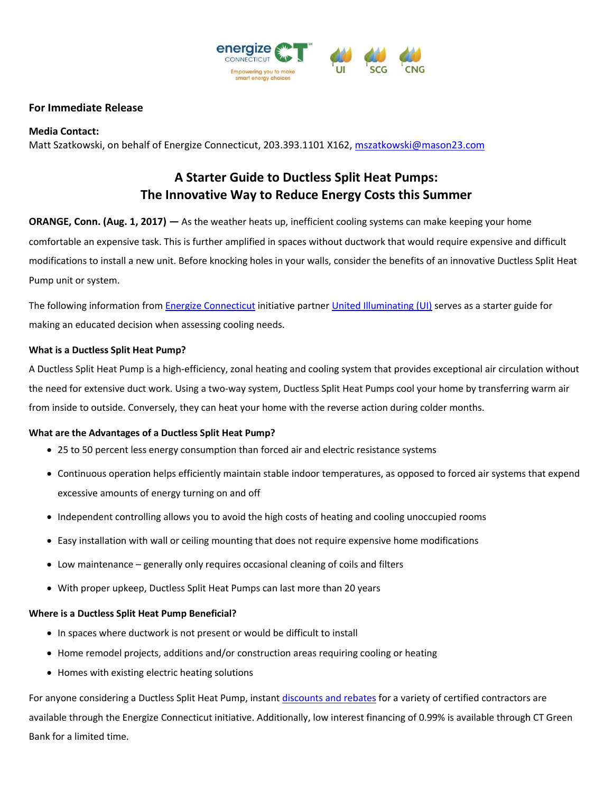

# **For Immediate Release**

### **Media Contact:**

Matt Szatkowski, on behalf of Energize Connecticut, 203.393.1101 X162[, mszatkowski@mason23.com](mailto:mszatkowski@mason23.com)

# **A Starter Guide to Ductless Split Heat Pumps: The Innovative Way to Reduce Energy Costs this Summer**

**ORANGE, Conn. (Aug. 1, 2017) —** As the weather heats up, inefficient cooling systems can make keeping your home comfortable an expensive task. This is further amplified in spaces without ductwork that would require expensive and difficult modifications to install a new unit. Before knocking holes in your walls, consider the benefits of an innovative Ductless Split Heat Pump unit or system.

The following information from [Energize Connecticut](http://www.energizect.com/) initiative partne[r United Illuminating \(UI\)](https://www.uinet.com/wps/portal/uinet/home/!ut/p/a1/hc9NC4JAEAbg3-LB6-64umrdFgnZsMSKsr2Eiqmhrqjp30-hS9HH3Aael3cGCxxiUUdDkUV9IeuonHdhXjyfuxvH4owfAwrc4CTwd44GABM4TwC-DIN_-RMWb2RvGhNZMevAt-Bq5Al-VKyxKOIKjUmFAGmGRUwKCwomJTqx7PlEVse6nWHRpte0TVt0b6fX8r5vuqUKKozjiDIpszJFiaxU-BTJZdfj8FXipgrhRsvBY4ryAD5twaw!/dl5/d5/L2dBISEvZ0FBIS9nQSEh/) serves as a starter guide for making an educated decision when assessing cooling needs.

### **What is a Ductless Split Heat Pump?**

A Ductless Split Heat Pump is a high-efficiency, zonal heating and cooling system that provides exceptional air circulation without the need for extensive duct work. Using a two-way system, Ductless Split Heat Pumps cool your home by transferring warm air from inside to outside. Conversely, they can heat your home with the reverse action during colder months.

#### **What are the Advantages of a Ductless Split Heat Pump?**

- 25 to 50 percent less energy consumption than forced air and electric resistance systems
- Continuous operation helps efficiently maintain stable indoor temperatures, as opposed to forced air systems that expend excessive amounts of energy turning on and off
- Independent controlling allows you to avoid the high costs of heating and cooling unoccupied rooms
- Easy installation with wall or ceiling mounting that does not require expensive home modifications
- Low maintenance generally only requires occasional cleaning of coils and filters
- With proper upkeep, Ductless Split Heat Pumps can last more than 20 years

#### **Where is a Ductless Split Heat Pump Beneficial?**

- In spaces where ductwork is not present or would be difficult to install
- Home remodel projects, additions and/or construction areas requiring cooling or heating
- Homes with existing electric heating solutions

For anyone considering a Ductless Split Heat Pump, instant [discounts and rebates](https://www.energizect.com/your-home/solutions-list/ductless-split-heat-pump-rebates) for a variety of certified contractors are available through the Energize Connecticut initiative. Additionally, low interest financing of 0.99% is available through CT Green Bank for a limited time.